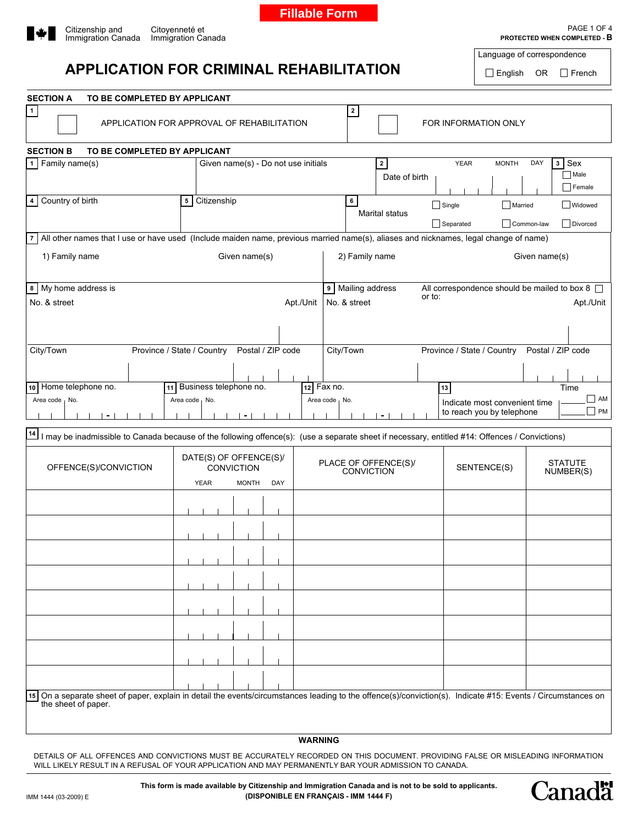

**Fillable Form**



## **APPLICATION FOR CRIMINAL REHABILITATION**

Language of correspondence

English OR French

| <b>SECTION A</b><br>TO BE COMPLETED BY APPLICANT                                                                                       |                                                                                                                                                |                                           |                                                                                                                                                              |  |  |  |  |  |  |
|----------------------------------------------------------------------------------------------------------------------------------------|------------------------------------------------------------------------------------------------------------------------------------------------|-------------------------------------------|--------------------------------------------------------------------------------------------------------------------------------------------------------------|--|--|--|--|--|--|
| 1                                                                                                                                      | APPLICATION FOR APPROVAL OF REHABILITATION                                                                                                     | $\overline{\mathbf{2}}$                   | FOR INFORMATION ONLY                                                                                                                                         |  |  |  |  |  |  |
| <b>SECTION B</b><br>TO BE COMPLETED BY APPLICANT                                                                                       |                                                                                                                                                |                                           |                                                                                                                                                              |  |  |  |  |  |  |
| 1 Family name(s)                                                                                                                       | Given name(s) - Do not use initials                                                                                                            | $\overline{\mathbf{2}}$                   | 3 Sex<br><b>YEAR</b><br><b>MONTH</b><br>DAY                                                                                                                  |  |  |  |  |  |  |
|                                                                                                                                        |                                                                                                                                                | Date of birth                             | $\Box$ Male<br>$\Box$ Female                                                                                                                                 |  |  |  |  |  |  |
| 4 Country of birth                                                                                                                     | 5 Citizenship                                                                                                                                  | 6                                         | $\Box$ Single<br>Married<br><b>Widowed</b>                                                                                                                   |  |  |  |  |  |  |
|                                                                                                                                        |                                                                                                                                                | <b>Marital status</b>                     | Common-law<br>Divorced<br>Separated                                                                                                                          |  |  |  |  |  |  |
| 7 All other names that I use or have used (Include maiden name, previous married name(s), aliases and nicknames, legal change of name) |                                                                                                                                                |                                           |                                                                                                                                                              |  |  |  |  |  |  |
| 1) Family name                                                                                                                         | Given name(s)                                                                                                                                  | 2) Family name<br>Given name(s)           |                                                                                                                                                              |  |  |  |  |  |  |
| 8 My home address is                                                                                                                   |                                                                                                                                                | 9 Mailing address                         | All correspondence should be mailed to box 8                                                                                                                 |  |  |  |  |  |  |
| No. & street                                                                                                                           | Apt./Unit                                                                                                                                      | No. & street                              | or to:<br>Apt./Unit                                                                                                                                          |  |  |  |  |  |  |
|                                                                                                                                        |                                                                                                                                                |                                           |                                                                                                                                                              |  |  |  |  |  |  |
| City/Town                                                                                                                              | Province / State / Country<br>Postal / ZIP code                                                                                                | City/Town                                 | Province / State / Country<br>Postal / ZIP code                                                                                                              |  |  |  |  |  |  |
|                                                                                                                                        |                                                                                                                                                |                                           |                                                                                                                                                              |  |  |  |  |  |  |
| Home telephone no.<br>10 <sub>1</sub>                                                                                                  | 11 Business telephone no.                                                                                                                      | 12 Fax no.                                | Time<br>13                                                                                                                                                   |  |  |  |  |  |  |
| Area code No.                                                                                                                          | Area code No.                                                                                                                                  | Area code No.                             | $\Box$ AM                                                                                                                                                    |  |  |  |  |  |  |
| $\blacksquare$                                                                                                                         | $\blacksquare$                                                                                                                                 | ۰.                                        | Indicate most convenient time<br><b>PM</b><br>to reach you by telephone                                                                                      |  |  |  |  |  |  |
| 14                                                                                                                                     | I may be inadmissible to Canada because of the following offence(s): (use a separate sheet if necessary, entitled #14: Offences / Convictions) |                                           |                                                                                                                                                              |  |  |  |  |  |  |
| OFFENCE(S)/CONVICTION                                                                                                                  | DATE(S) OF OFFENCE(S)/<br><b>CONVICTION</b><br><b>YEAR</b><br><b>MONTH</b><br>DAY                                                              | PLACE OF OFFENCE(S)/<br><b>CONVICTION</b> | <b>STATUTE</b><br>SENTENCE(S)<br>NUMBER(S)                                                                                                                   |  |  |  |  |  |  |
|                                                                                                                                        |                                                                                                                                                |                                           |                                                                                                                                                              |  |  |  |  |  |  |
|                                                                                                                                        |                                                                                                                                                |                                           |                                                                                                                                                              |  |  |  |  |  |  |
|                                                                                                                                        |                                                                                                                                                |                                           |                                                                                                                                                              |  |  |  |  |  |  |
|                                                                                                                                        |                                                                                                                                                |                                           |                                                                                                                                                              |  |  |  |  |  |  |
|                                                                                                                                        |                                                                                                                                                |                                           |                                                                                                                                                              |  |  |  |  |  |  |
|                                                                                                                                        |                                                                                                                                                |                                           |                                                                                                                                                              |  |  |  |  |  |  |
|                                                                                                                                        |                                                                                                                                                |                                           |                                                                                                                                                              |  |  |  |  |  |  |
|                                                                                                                                        |                                                                                                                                                |                                           |                                                                                                                                                              |  |  |  |  |  |  |
|                                                                                                                                        |                                                                                                                                                |                                           |                                                                                                                                                              |  |  |  |  |  |  |
|                                                                                                                                        |                                                                                                                                                |                                           |                                                                                                                                                              |  |  |  |  |  |  |
|                                                                                                                                        |                                                                                                                                                |                                           |                                                                                                                                                              |  |  |  |  |  |  |
|                                                                                                                                        |                                                                                                                                                |                                           | 15 On a separate sheet of paper, explain in detail the events/circumstances leading to the offence(s)/conviction(s). Indicate #15: Events / Circumstances on |  |  |  |  |  |  |
| the sheet of paper.                                                                                                                    |                                                                                                                                                |                                           |                                                                                                                                                              |  |  |  |  |  |  |
|                                                                                                                                        |                                                                                                                                                |                                           |                                                                                                                                                              |  |  |  |  |  |  |
|                                                                                                                                        | <b>WARNING</b>                                                                                                                                 |                                           |                                                                                                                                                              |  |  |  |  |  |  |

DETAILS OF ALL OFFENCES AND CONVICTIONS MUST BE ACCURATELY RECORDED ON THIS DOCUMENT. PROVIDING FALSE OR MISLEADING INFORMATION WILL LIKELY RESULT IN A REFUSAL OF YOUR APPLICATION AND MAY PERMANENTLY BAR YOUR ADMISSION TO CANADA.

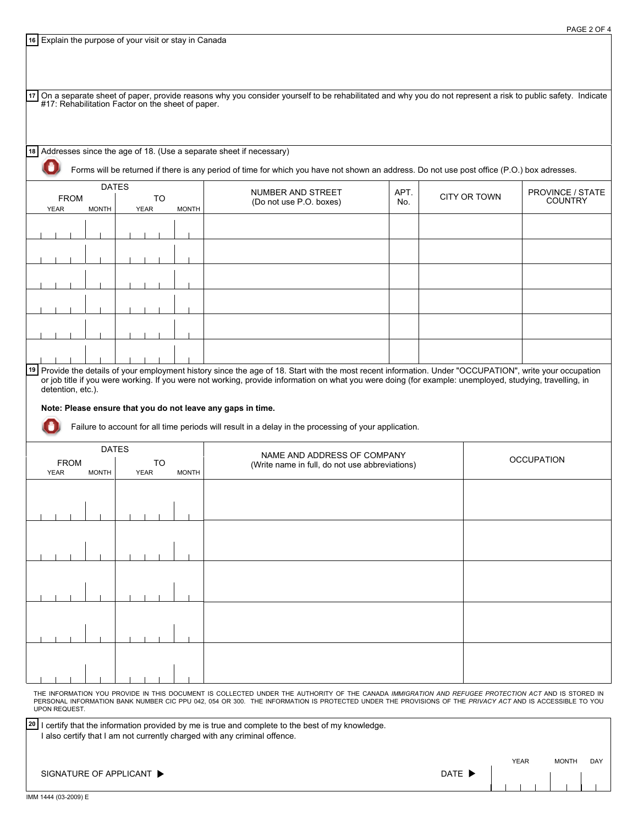Explain the purpose of your visit or stay in Canada **16**

| 17                                                                              |                                             |             |                   |                                                   |              |  |             |                                                |                   |              | On a separate sheet of paper, provide reasons why you consider yourself to be rehabilitated and why you do not represent a risk to public safety. Indicate                                                                                                                                                           |      |  |                     |                                    |
|---------------------------------------------------------------------------------|---------------------------------------------|-------------|-------------------|---------------------------------------------------|--------------|--|-------------|------------------------------------------------|-------------------|--------------|----------------------------------------------------------------------------------------------------------------------------------------------------------------------------------------------------------------------------------------------------------------------------------------------------------------------|------|--|---------------------|------------------------------------|
|                                                                                 |                                             |             |                   | #17: Rehabilitation Factor on the sheet of paper. |              |  |             |                                                |                   |              |                                                                                                                                                                                                                                                                                                                      |      |  |                     |                                    |
|                                                                                 |                                             |             |                   |                                                   |              |  |             |                                                |                   |              |                                                                                                                                                                                                                                                                                                                      |      |  |                     |                                    |
|                                                                                 |                                             |             |                   |                                                   |              |  |             |                                                |                   |              | 18 Addresses since the age of 18. (Use a separate sheet if necessary)                                                                                                                                                                                                                                                |      |  |                     |                                    |
|                                                                                 |                                             |             |                   |                                                   |              |  |             |                                                |                   |              | Forms will be returned if there is any period of time for which you have not shown an address. Do not use post office (P.O.) box adresses.                                                                                                                                                                           |      |  |                     |                                    |
|                                                                                 |                                             |             |                   |                                                   | <b>DATES</b> |  |             |                                                |                   |              | NUMBER AND STREET                                                                                                                                                                                                                                                                                                    | APT. |  |                     |                                    |
|                                                                                 |                                             | <b>YEAR</b> | <b>FROM</b>       | <b>MONTH</b>                                      |              |  | <b>YEAR</b> | <b>TO</b>                                      |                   | <b>MONTH</b> | (Do not use P.O. boxes)                                                                                                                                                                                                                                                                                              | No.  |  | <b>CITY OR TOWN</b> | PROVINCE / STATE<br><b>COUNTRY</b> |
|                                                                                 |                                             |             |                   |                                                   |              |  |             |                                                |                   |              |                                                                                                                                                                                                                                                                                                                      |      |  |                     |                                    |
|                                                                                 |                                             |             |                   |                                                   |              |  |             |                                                |                   |              |                                                                                                                                                                                                                                                                                                                      |      |  |                     |                                    |
|                                                                                 |                                             |             |                   |                                                   |              |  |             |                                                |                   |              |                                                                                                                                                                                                                                                                                                                      |      |  |                     |                                    |
|                                                                                 |                                             |             |                   |                                                   |              |  |             |                                                |                   |              |                                                                                                                                                                                                                                                                                                                      |      |  |                     |                                    |
|                                                                                 |                                             |             |                   |                                                   |              |  |             |                                                |                   |              |                                                                                                                                                                                                                                                                                                                      |      |  |                     |                                    |
|                                                                                 |                                             |             |                   |                                                   |              |  |             |                                                |                   |              |                                                                                                                                                                                                                                                                                                                      |      |  |                     |                                    |
|                                                                                 |                                             |             |                   |                                                   |              |  |             |                                                |                   |              |                                                                                                                                                                                                                                                                                                                      |      |  |                     |                                    |
|                                                                                 |                                             |             |                   |                                                   |              |  |             |                                                |                   |              |                                                                                                                                                                                                                                                                                                                      |      |  |                     |                                    |
|                                                                                 |                                             |             |                   |                                                   |              |  |             |                                                |                   |              |                                                                                                                                                                                                                                                                                                                      |      |  |                     |                                    |
|                                                                                 |                                             |             |                   |                                                   |              |  |             |                                                |                   |              | 19 Provide the details of your employment history since the age of 18. Start with the most recent information. Under "OCCUPATION", write your occupation<br>or job title if you were working. If you were not working, provide information on what you were doing (for example: unemployed, studying, travelling, in |      |  |                     |                                    |
|                                                                                 |                                             |             | detention, etc.). |                                                   |              |  |             |                                                |                   |              |                                                                                                                                                                                                                                                                                                                      |      |  |                     |                                    |
|                                                                                 |                                             |             |                   |                                                   |              |  |             |                                                |                   |              | Note: Please ensure that you do not leave any gaps in time.                                                                                                                                                                                                                                                          |      |  |                     |                                    |
|                                                                                 |                                             |             |                   |                                                   |              |  |             |                                                |                   |              | Failure to account for all time periods will result in a delay in the processing of your application.                                                                                                                                                                                                                |      |  |                     |                                    |
|                                                                                 | <b>DATES</b><br>NAME AND ADDRESS OF COMPANY |             |                   |                                                   |              |  |             |                                                |                   |              |                                                                                                                                                                                                                                                                                                                      |      |  |                     |                                    |
| <b>FROM</b><br>TO<br><b>YEAR</b><br><b>MONTH</b><br><b>YEAR</b><br><b>MONTH</b> |                                             |             |                   |                                                   |              |  |             | (Write name in full, do not use abbreviations) | <b>OCCUPATION</b> |              |                                                                                                                                                                                                                                                                                                                      |      |  |                     |                                    |
|                                                                                 |                                             |             |                   |                                                   |              |  |             |                                                |                   |              |                                                                                                                                                                                                                                                                                                                      |      |  |                     |                                    |
|                                                                                 |                                             |             |                   |                                                   |              |  |             |                                                |                   |              |                                                                                                                                                                                                                                                                                                                      |      |  |                     |                                    |
|                                                                                 |                                             |             |                   |                                                   |              |  |             |                                                |                   |              |                                                                                                                                                                                                                                                                                                                      |      |  |                     |                                    |

THE INFORMATION YOU PROVIDE IN THIS DOCUMENT IS COLLECTED UNDER THE AUTHORITY OF THE CANADA *IMMIGRATION AND REFUGEE PROTECTION ACT* AND IS STORED IN<br>PERSONAL INFORMATION BANK NUMBER CIC PPU 042, 054 OR 300. THE INFORMATIO UPON REQUEST.

| 20 I certify that the information provided by me is true and complete to the best of my knowledge.<br>I also certify that I am not currently charged with any criminal offence. |                            |  |             |  |              |     |
|---------------------------------------------------------------------------------------------------------------------------------------------------------------------------------|----------------------------|--|-------------|--|--------------|-----|
|                                                                                                                                                                                 |                            |  | <b>YEAR</b> |  | <b>MONTH</b> | DAY |
| SIGNATURE OF APPLICANT ▶                                                                                                                                                        | DATE $\blacktriangleright$ |  |             |  |              |     |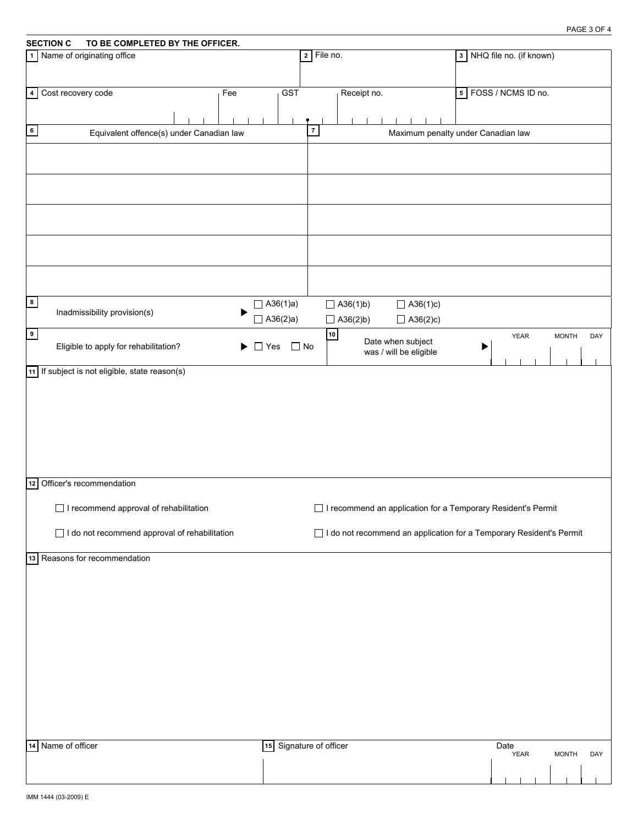| <b>SECTION C</b><br>TO BE COMPLETED BY THE OFFICER.         |                 |                         |                 |             |                                                                       |   |                           |              |     |
|-------------------------------------------------------------|-----------------|-------------------------|-----------------|-------------|-----------------------------------------------------------------------|---|---------------------------|--------------|-----|
| Name of originating office<br>$\overline{1}$                |                 |                         | $2$ File no.    |             |                                                                       |   | 3 NHQ file no. (if known) |              |     |
|                                                             |                 |                         |                 |             |                                                                       |   |                           |              |     |
|                                                             |                 |                         |                 |             |                                                                       |   |                           |              |     |
| 4 Cost recovery code<br>Fee                                 |                 | GST                     |                 | Receipt no. |                                                                       |   | 5 FOSS / NCMS ID no.      |              |     |
|                                                             |                 |                         |                 |             |                                                                       |   |                           |              |     |
|                                                             |                 | $\overline{7}$          |                 |             |                                                                       |   |                           |              |     |
| $6\phantom{.0}$<br>Equivalent offence(s) under Canadian law |                 |                         |                 |             | Maximum penalty under Canadian law                                    |   |                           |              |     |
|                                                             |                 |                         |                 |             |                                                                       |   |                           |              |     |
|                                                             |                 |                         |                 |             |                                                                       |   |                           |              |     |
|                                                             |                 |                         |                 |             |                                                                       |   |                           |              |     |
|                                                             |                 |                         |                 |             |                                                                       |   |                           |              |     |
|                                                             |                 |                         |                 |             |                                                                       |   |                           |              |     |
|                                                             |                 |                         |                 |             |                                                                       |   |                           |              |     |
|                                                             |                 |                         |                 |             |                                                                       |   |                           |              |     |
|                                                             |                 |                         |                 |             |                                                                       |   |                           |              |     |
|                                                             |                 |                         |                 |             |                                                                       |   |                           |              |     |
|                                                             |                 |                         |                 |             |                                                                       |   |                           |              |     |
|                                                             |                 |                         |                 |             |                                                                       |   |                           |              |     |
| 8                                                           | $\Box$ A36(1)a) |                         | $\Box$ A36(1)b) |             | $\Box$ A36(1)c)                                                       |   |                           |              |     |
| Inadmissibility provision(s)                                |                 |                         |                 |             |                                                                       |   |                           |              |     |
|                                                             | $\Box$ A36(2)a) |                         | $\Box$ A36(2)b) |             | $\Box$ A36(2)c)                                                       |   |                           |              |     |
| $\bullet$                                                   |                 |                         | 10              |             | Date when subject                                                     |   | <b>YEAR</b>               | <b>MONTH</b> | DAY |
| Eligible to apply for rehabilitation?                       | $\Box$ Yes      | $\Box$ No               |                 |             | was / will be eligible                                                | P |                           |              |     |
| 11 If subject is not eligible, state reason(s)              |                 |                         |                 |             |                                                                       |   |                           |              |     |
|                                                             |                 |                         |                 |             |                                                                       |   |                           |              |     |
|                                                             |                 |                         |                 |             |                                                                       |   |                           |              |     |
|                                                             |                 |                         |                 |             |                                                                       |   |                           |              |     |
|                                                             |                 |                         |                 |             |                                                                       |   |                           |              |     |
|                                                             |                 |                         |                 |             |                                                                       |   |                           |              |     |
|                                                             |                 |                         |                 |             |                                                                       |   |                           |              |     |
|                                                             |                 |                         |                 |             |                                                                       |   |                           |              |     |
|                                                             |                 |                         |                 |             |                                                                       |   |                           |              |     |
| 12 Officer's recommendation                                 |                 |                         |                 |             |                                                                       |   |                           |              |     |
|                                                             |                 |                         |                 |             |                                                                       |   |                           |              |     |
| I recommend approval of rehabilitation                      |                 |                         |                 |             | □ I recommend an application for a Temporary Resident's Permit        |   |                           |              |     |
|                                                             |                 |                         |                 |             |                                                                       |   |                           |              |     |
| I do not recommend approval of rehabilitation               |                 |                         |                 |             | □ I do not recommend an application for a Temporary Resident's Permit |   |                           |              |     |
| 13 Reasons for recommendation                               |                 |                         |                 |             |                                                                       |   |                           |              |     |
|                                                             |                 |                         |                 |             |                                                                       |   |                           |              |     |
|                                                             |                 |                         |                 |             |                                                                       |   |                           |              |     |
|                                                             |                 |                         |                 |             |                                                                       |   |                           |              |     |
|                                                             |                 |                         |                 |             |                                                                       |   |                           |              |     |
|                                                             |                 |                         |                 |             |                                                                       |   |                           |              |     |
|                                                             |                 |                         |                 |             |                                                                       |   |                           |              |     |
|                                                             |                 |                         |                 |             |                                                                       |   |                           |              |     |
|                                                             |                 |                         |                 |             |                                                                       |   |                           |              |     |
|                                                             |                 |                         |                 |             |                                                                       |   |                           |              |     |
|                                                             |                 |                         |                 |             |                                                                       |   |                           |              |     |
|                                                             |                 |                         |                 |             |                                                                       |   |                           |              |     |
|                                                             |                 |                         |                 |             |                                                                       |   |                           |              |     |
|                                                             |                 |                         |                 |             |                                                                       |   |                           |              |     |
|                                                             |                 |                         |                 |             |                                                                       |   |                           |              |     |
| 14 Name of officer                                          |                 | 15 Signature of officer |                 |             |                                                                       |   | Date<br><b>YEAR</b>       | <b>MONTH</b> | DAY |
|                                                             |                 |                         |                 |             |                                                                       |   |                           |              |     |
|                                                             |                 |                         |                 |             |                                                                       |   |                           |              |     |
|                                                             |                 |                         |                 |             |                                                                       |   |                           |              |     |